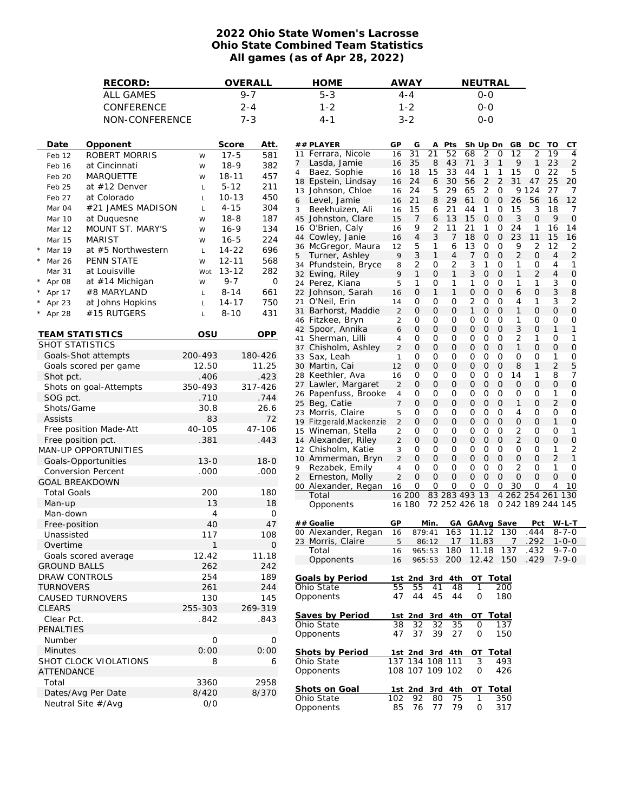## **2022 Ohio State Women's Lacrosse Ohio State Combined Team Statistics All games (as of Apr 28, 2022)**

| RECORD:                |                             |              |           | OVERALL     |                | <b>HOME</b>                               |                                  | <b>AWAY</b>                        |                   |                     | NEUTRAL                        |                                |                           |                   |                              |                      |                     |
|------------------------|-----------------------------|--------------|-----------|-------------|----------------|-------------------------------------------|----------------------------------|------------------------------------|-------------------|---------------------|--------------------------------|--------------------------------|---------------------------|-------------------|------------------------------|----------------------|---------------------|
|                        | <b>ALL GAMES</b>            |              |           | $9 - 7$     |                | $5 - 3$                                   |                                  | 4-4                                |                   |                     |                                | $0 - 0$                        |                           |                   |                              |                      |                     |
|                        | CONFERENCE                  |              |           | $2 - 4$     |                | $1 - 2$                                   |                                  | $1 - 2$                            |                   |                     |                                | $O-O$                          |                           |                   |                              |                      |                     |
|                        | NON-CONFERENCE              |              |           | $7 - 3$     |                | $4 - 1$                                   |                                  | $3 - 2$                            |                   |                     |                                | $0 - 0$                        |                           |                   |                              |                      |                     |
|                        |                             |              |           |             |                |                                           |                                  |                                    |                   |                     |                                |                                |                           |                   |                              |                      |                     |
| Date                   | Opponent                    |              | Score     | Att.        |                | ## PLAYER                                 | GP                               | G                                  | A                 | Pts                 |                                | Sh Up Dn GB                    |                           |                   | DC                           | TO                   | <b>CT</b>           |
| Feb 12                 | ROBERT MORRIS               | W            | $17 - 5$  | 581         |                | 11 Ferrara, Nicole                        | 16                               | 31                                 | 21                | 52                  | 68                             | $\overline{2}$                 | 0                         | 12                | 2                            | 19                   | 4                   |
| Feb 16                 | at Cincinnati               | W            | $18-9$    | 382         | 7              | Lasda, Jamie                              | 16                               | 35                                 | 8                 | 43<br>33            | 71                             | 3                              | $\mathbf{1}$              | 9<br>15           | $\mathbf{1}$                 | 23<br>22             | $\overline{2}$      |
| Feb 20                 | <b>MARQUETTE</b>            | W            | $18 - 11$ | 457         | $\overline{4}$ | Baez, Sophie<br>18 Epstein, Lindsay       | 16<br>16                         | 18<br>24                           | 15<br>6           | 30                  | 44<br>56                       | $\mathbf{1}$<br>$\overline{2}$ | 1<br>$\overline{2}$       | 31                | 0<br>47                      | 25                   | 5<br>20             |
| Feb 25                 | at $#12$ Denver             | L            | $5 - 12$  | 211         |                | 13 Johnson, Chloe                         | 16                               | 24                                 | 5                 | 29                  | 65                             | $\overline{2}$                 | 0                         |                   | 9 1 2 4                      | 27                   | 7                   |
| Feb 27                 | at Colorado                 | Г            | $10 - 13$ | 450         |                | 6 Level, Jamie                            | 16                               | 21                                 | 8                 | 29                  | 61                             | 0                              | $\circ$                   | 26                | 56                           | 16                   | 12                  |
| Mar 04                 | #21 JAMES MADISON           | Г            | $4 - 15$  | 304         | 3              | Beekhuizen, Ali                           | 16                               | 15                                 | 6                 | 21                  | 44                             | $\mathbf{1}$                   | 0                         | 15                | 3                            | 18                   | 7                   |
| Mar 10                 | at Duquesne                 | W            | $18 - 8$  | 187         |                | 45 Johnston, Clare                        | 15                               | 7                                  | 6                 | 13                  | 15                             | 0                              | $\circ$                   | 3                 | 0                            | 9                    | $\overline{O}$      |
| Mar 12                 | MOUNT ST. MARY'S            | W            | $16 - 9$  | 134         |                | 16 O'Brien, Caly                          | 16                               | 9                                  | 2                 | 11                  | 21                             | 1                              | 0                         | 24                | 1                            | 16                   | 14                  |
| Mar 15                 | <b>MARIST</b>               | W            | $16 - 5$  | 224         |                | 44 Cowley, Janie                          | 16                               | $\overline{4}$                     | 3                 | 7                   | 18                             | $\mathcal{O}$                  | $\overline{O}$            | 23                | 11                           | 15                   | 16                  |
| * Mar 19               | at #5 Northwestern          | Г            | $14 - 22$ | 696         |                | 36 McGregor, Maura                        | 12                               | 5                                  | 1<br>$\mathbf{1}$ | 6<br>$\overline{4}$ | 13                             | 0                              | 0                         | 9                 | 2<br>$\overline{O}$          | 12<br>$\overline{4}$ | 2                   |
| Mar 26<br>$\star$      | PENN STATE                  | W            | $12 - 11$ | 568         | 5              | Turner, Ashley<br>34 Pfundstein, Bryce    | 9<br>8                           | 3<br>$\overline{2}$                | 0                 | $\overline{2}$      | 7<br>3                         | 0<br>$\mathbf{1}$              | $\overline{O}$<br>$\circ$ | 2<br>1            | 0                            | 4                    | $\overline{2}$<br>1 |
| Mar 31                 | at Louisville               | Wot          | $13 - 12$ | 282         |                | 32 Ewing, Riley                           | 9                                | $\mathbf{1}$                       | $\mathbf 0$       | $\mathbf{1}$        | 3                              | 0                              | $\overline{0}$            | $\mathbf{1}$      | $\overline{2}$               | 4                    | 0                   |
| Apr 08<br>$^{\star}$   | at #14 Michigan             | W            | $9 - 7$   | 0           |                | 24 Perez, Kiana                           | 5                                | 1                                  | 0                 | 1                   | $\mathbf{1}$                   | 0                              | $\circ$                   | 1                 | 1                            | 3                    | 0                   |
| Apr 17                 | #8 MARYLAND                 | Г            | $8 - 14$  | 661         |                | 22 Johnson, Sarah                         | 16                               | $\mathbf 0$                        | $\mathbf{1}$      | $\mathbf{1}$        | $\mathsf{O}$                   | 0                              | $\overline{O}$            | 6                 | 0                            | 3                    | 8                   |
| Apr 23                 | at Johns Hopkins            | L            | $14 - 17$ | 750         |                | 21 O'Neil, Erin                           | 14                               | 0                                  | 0                 | 0                   | $\overline{2}$                 | $\mathsf{O}$                   | $\circ$                   | 4                 | 1                            | 3                    | 2                   |
| $*$ Apr 28             | #15 RUTGERS                 |              | $8 - 10$  | 431         | 31             | Barhorst, Maddie                          | $\overline{2}$                   | $\mathbf{O}$                       | $\mathbf 0$       | $\mathbf{O}$        | $\mathbf{1}$                   | 0                              | $\overline{0}$            | 1                 | $\overline{O}$               | $\overline{O}$       | $\mathbf 0$         |
|                        |                             |              |           |             |                | 46 Fitzkee, Bryn                          | 2                                | 0                                  | 0                 | 0                   | 0                              | 0                              | $\circ$                   | 1                 | 0                            | 0                    | 0                   |
| <b>TEAM STATISTICS</b> |                             | OSU          |           | OPP         |                | 42 Spoor, Annika                          | 6                                | $\mathbf{O}$                       | $\mathbf 0$       | $\mathbf{O}$        | $\mathsf{O}$                   | 0                              | $\mathbf 0$               | 3                 | $\overline{O}$               | $\mathbf{1}$         | 1                   |
| SHOT STATISTICS        |                             |              |           |             |                | 41 Sherman, Lilli                         | 4                                | 0<br>$\mathbf{O}$                  | 0                 | 0<br>$\mathbf{O}$   | 0<br>$\overline{O}$            | 0                              | $\circ$                   | 2<br>$\mathbf{1}$ | 1<br>$\overline{O}$          | 0<br>$\overline{O}$  | 1<br>0              |
|                        | Goals-Shot attempts         | 200-493      |           | 180-426     |                | 37 Chisholm, Ashley<br>33 Sax, Leah       | 2<br>1                           | 0                                  | $\mathbf 0$<br>0  | 0                   | 0                              | 0<br>0                         | $\mathbf 0$<br>$\circ$    | 0                 | 0                            | 1                    | 0                   |
|                        | Goals scored per game       | 12.50        |           | 11.25       |                | 30 Martin, Cai                            | 12                               | $\mathbf 0$                        | $\mathbf 0$       | $\mathbf 0$         | $\mathsf{O}$                   | 0                              | $\circ$                   | 8                 | $\mathbf{1}$                 | $\overline{2}$       | 5                   |
| Shot pct.              |                             | .406         |           | .423        |                | 28 Keethler, Ava                          | 16                               | 0                                  | 0                 | 0                   | 0                              | 0                              | 0                         | 14                | 1                            | 8                    | 7                   |
|                        | Shots on goal-Attempts      | 350-493      |           | 317-426     |                | 27 Lawler, Margaret                       | $\overline{c}$                   | $\mathbf{O}$                       | $\mathbf 0$       | $\mathbf 0$         | $\overline{O}$                 | 0                              | $\circ$                   | $\mathbf 0$       | $\overline{O}$               | 0                    | $\overline{O}$      |
| SOG pct.               |                             | .710         |           | .744        |                | 26 Papenfuss, Brooke                      | 4                                | 0                                  | 0                 | 0                   | 0                              | 0                              | $\circ$                   | 0                 | 0                            | 1                    | 0                   |
| Shots/Game             |                             | 30.8         |           | 26.6        |                | 25 Beg, Catie                             | $\overline{7}$                   | $\mathbf 0$                        | $\mathbf 0$       | $\mathbf 0$         | $\mathsf{O}$                   | 0                              | $\circ$                   | $\mathbf{1}$      | $\overline{0}$               | 2                    | 0                   |
| Assists                |                             | 83           |           | 72          |                | 23 Morris, Claire                         | 5                                | 0                                  | 0                 | 0                   | 0                              | 0                              | $\circ$                   | 4                 | 0                            | 0                    | 0                   |
|                        | Free position Made-Att      | 40-105       |           | 47-106      |                | 19 Fitzgerald, Mackenzie                  | $\overline{c}$                   | $\mathbf{O}$<br>0                  | $\mathbf 0$<br>0  | $\mathbf{O}$<br>0   | $\overline{O}$<br>0            | 0<br>0                         | $\circ$<br>$\circ$        | 0<br>2            | $\overline{O}$<br>0          | $\mathbf{1}$<br>0    | 0<br>1              |
| Free position pct.     |                             | .381         |           | .443        |                | 15 Wineman, Stella<br>14 Alexander, Riley | $\overline{c}$<br>$\overline{c}$ | $\mathbf 0$                        | $\mathbf 0$       | $\mathbf 0$         | $\mathsf{O}$                   | 0                              | $\mathbf 0$               | 2                 | $\overline{O}$               | $\overline{O}$       | $\mathbf 0$         |
|                        | <b>MAN-UP OPPORTUNITIES</b> |              |           |             |                | 12 Chisholm, Katie                        | 3                                | 0                                  | 0                 | 0                   | 0                              | 0                              | $\circ$                   | 0                 | 0                            | 1                    | 2                   |
|                        | Goals-Opportunities         | $13 - 0$     |           | $18 - 0$    |                | 10 Ammerman, Bryn                         | $\overline{c}$                   | $\mathcal{O}$                      | $\mathbf 0$       | $\overline{O}$      | $\overline{O}$                 | $\mathbf 0$                    | $\circ$                   | 0                 | $\overline{O}$               | 2                    | 1                   |
|                        | <b>Conversion Percent</b>   | .000         |           | .000        | 9              | Rezabek, Emily                            | 4                                | 0                                  | 0                 | 0                   | 0                              | 0                              | $\circ$                   | 2                 | $\circ$                      | 1                    | 0                   |
| <b>GOAL BREAKDOWN</b>  |                             |              |           |             | $\overline{a}$ | Erneston, Molly                           | $\overline{c}$                   | $\mathbf 0$                        | $\overline{O}$    | $\mathbf 0$         | $\mathbf{O}$                   | $\mathbf 0$                    | $\mathbf 0$               | $\overline{0}$    | $\overline{O}$               | $\overline{O}$       | 0                   |
| <b>Total Goals</b>     |                             | 200          |           | 180         |                | 00 Alexander, Regan                       | 16                               | 0                                  | 0                 | 0                   | 0                              | 0                              | 0                         | 30                | O                            | 4                    | -10                 |
| Man-up                 |                             | 13           |           | 18          |                | Total                                     |                                  | 16 200<br>16 180                   |                   |                     | 83 283 493 13<br>72 252 426 18 |                                | $\overline{4}$            | 262               | 254 261<br>0 242 189 244 145 |                      | 130                 |
| Man-down               |                             | 4            |           | 0           |                | Opponents                                 |                                  |                                    |                   |                     |                                |                                |                           |                   |                              |                      |                     |
| Free-position          |                             | 40           |           | 47          |                | ## Goalie                                 | GP                               |                                    | Min.              |                     | GA GAAvg Save                  |                                |                           |                   |                              | Pct W-L-T            |                     |
| Unassisted             |                             | 117          |           | 108         |                | 00 Alexander, Regan                       | 16                               |                                    | 879:41            | 163                 |                                | 11.12                          | 130                       |                   | .444                         |                      | $8 - 7 - 0$         |
| Overtime               |                             | $\mathbf{1}$ |           | $\mathbf 0$ |                | 23 Morris, Claire                         | 5                                |                                    | 86:12             |                     | 17 11.83                       |                                |                           |                   | 7 .292 1-0-0                 |                      |                     |
|                        | Goals scored average        | 12.42        |           | 11.18       |                | Total                                     | 16                               |                                    | 965:53            | 180                 |                                | 11.18                          | 137                       |                   | .432                         |                      | $9 - 7 - 0$         |
| <b>GROUND BALLS</b>    |                             | 262          |           | 242         |                | Opponents                                 | 16                               |                                    |                   | 965:53 200          |                                | 12.42 150                      |                           |                   | .429 7-9-0                   |                      |                     |
| DRAW CONTROLS          |                             | 254          |           | 189         |                | Goals by Period                           |                                  |                                    |                   |                     |                                |                                |                           |                   |                              |                      |                     |
| <b>TURNOVERS</b>       |                             | 261          |           | 244         |                | Ohio State                                | 55                               | 1st 2nd 3rd 4th<br>55              | 41                | 48                  |                                | OT Total<br>1                  | 200                       |                   |                              |                      |                     |
|                        | CAUSED TURNOVERS            | 130          |           | 145         |                | Opponents                                 | 47                               | 44                                 | 45                | 44                  |                                | 0                              | 180                       |                   |                              |                      |                     |
| <b>CLEARS</b>          |                             | 255-303      |           | 269-319     |                |                                           |                                  |                                    |                   |                     |                                |                                |                           |                   |                              |                      |                     |
| Clear Pct.             |                             | .842         |           | .843        |                | Saves by Period                           |                                  | 1st 2nd 3rd 4th                    |                   |                     |                                | OT Total                       |                           |                   |                              |                      |                     |
| PENALTIES              |                             |              |           |             |                | Ohio State                                | 38                               | 32                                 | 32                | 35                  |                                | $\Omega$                       | 137                       |                   |                              |                      |                     |
| Number                 |                             | 0            |           | 0           |                | Opponents                                 | 47                               | 37                                 | 39                | 27                  |                                | 0                              | 150                       |                   |                              |                      |                     |
| <b>Minutes</b>         |                             | 0:00         |           |             |                |                                           |                                  |                                    |                   |                     |                                |                                |                           |                   |                              |                      |                     |
|                        | SHOT CLOCK VIOLATIONS       | 8            |           | 0:00        |                | Shots by Period<br>Ohio State             |                                  | 1st 2nd 3rd 4th<br>137 134 108 111 |                   |                     |                                | OT Total<br>3                  | 493                       |                   |                              |                      |                     |
| <b>ATTENDANCE</b>      |                             |              |           | 6           |                | Opponents                                 |                                  | 108 107 109 102                    |                   |                     |                                | 0                              | 426                       |                   |                              |                      |                     |
|                        |                             |              |           |             |                |                                           |                                  |                                    |                   |                     |                                |                                |                           |                   |                              |                      |                     |
| Total                  |                             | 3360         |           | 2958        |                | Shots on Goal                             |                                  | 1st 2nd 3rd 4th                    |                   |                     |                                | OT Total                       |                           |                   |                              |                      |                     |
|                        | Dates/Avg Per Date          | 8/420        |           | 8/370       |                | Ohio State                                | 102                              | 92                                 | 80                | 75                  |                                | 1                              | 350                       |                   |                              |                      |                     |
|                        | Neutral Site #/Avg          | 0/0          |           |             |                | Opponents                                 | 85                               |                                    |                   | 76 77 79            |                                | 0                              | 317                       |                   |                              |                      |                     |
|                        |                             |              |           |             |                |                                           |                                  |                                    |                   |                     |                                |                                |                           |                   |                              |                      |                     |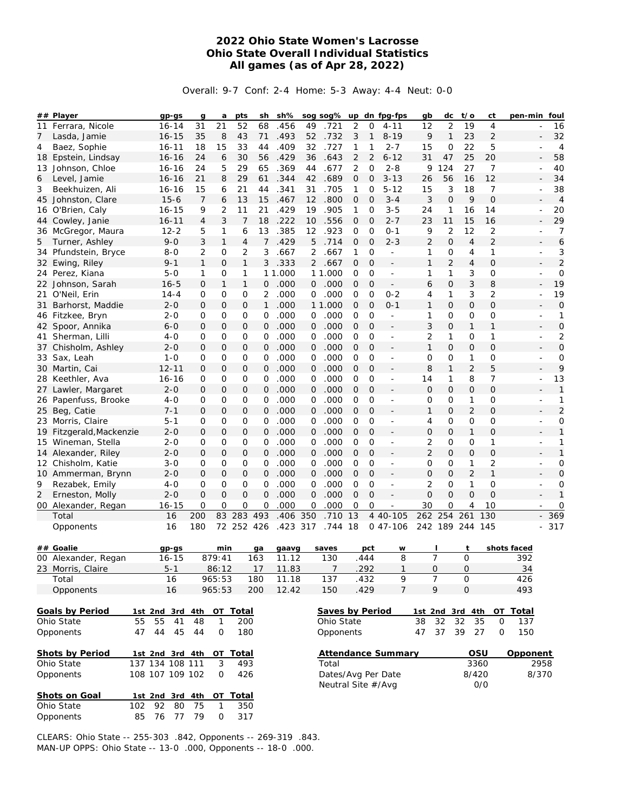## **2022 Ohio State Women's Lacrosse Ohio State Overall Individual Statistics All games (as of Apr 28, 2022)**

Overall: 9-7 Conf: 2-4 Home: 5-3 Away: 4-4 Neut: 0-0

|                | ## Player                | $gp-gs$         | g              | a            | pts            | sh           | sh%      |                 | sog sog%           | up             |                | dn fpg-fps               | gb              | dc             | $t$ /o         | ct             | pen-min foul |                      |
|----------------|--------------------------|-----------------|----------------|--------------|----------------|--------------|----------|-----------------|--------------------|----------------|----------------|--------------------------|-----------------|----------------|----------------|----------------|--------------|----------------------|
| 11             | Ferrara, Nicole          | $16 - 14$       | 31             | 21           | 52             | 68           | .456     | 49              | .721               | 2              | $\overline{O}$ | $4 - 11$                 | 12              | $\overline{2}$ | 19             | $\overline{4}$ |              | 16                   |
| 7              | Lasda, Jamie             | $16 - 15$       | 35             | 8            | 43             | 71           | .493     | 52              | .732               | 3              | 1              | $8 - 19$                 | 9               | 1              | 23             | $\overline{2}$ |              | 32                   |
| 4              | Baez, Sophie             | $16 - 11$       | 18             | 15           | 33             | 44           | .409     | 32              | .727               | 1              | 1              | $2 - 7$                  | 15              | O              | 22             | 5              |              | $\overline{4}$       |
|                | 18 Epstein, Lindsay      | $16 - 16$       | 24             | 6            | 30             | 56           | .429     | 36              | .643               | 2              | 2              | $6 - 12$                 | 31              | 47             | 25             | 20             |              | 58                   |
|                | 13 Johnson, Chloe        | $16 - 16$       | 24             | 5            | 29             | 65           | .369     | 44              | .677               | 2              | $\mathcal{O}$  | $2 - 8$                  | 9               | 124            | 27             | $\overline{7}$ |              | 40<br>$\overline{a}$ |
| 6              | Level, Jamie             | $16 - 16$       | 21             | 8            | 29             | 61           | .344     | 42              | .689               | 0              | 0              | $3 - 13$                 | 26              | 56             | 16             | 12             |              | 34                   |
| 3              | Beekhuizen, Ali          | $16 - 16$       | 15             | 6            | 21             | 44           | .341     | 31              | .705               | 1              | 0              | $5 - 12$                 | 15              | 3              | 18             | $\overline{7}$ |              | 38                   |
|                | 45 Johnston, Clare       | $15 - 6$        | 7              | 6            | 13             | 15           | .467     | 12 <sup>2</sup> | .800               | 0              | $\mathbf 0$    | $3 - 4$                  | 3               | $\mathbf 0$    | 9              | $\overline{O}$ |              | $\overline{4}$       |
|                | 16 O'Brien, Caly         | $16 - 15$       | 9              | 2            | 11             | 21           | .429     | 19              | .905               | 1              | 0              | 3-5                      | 24              | 1              | 16             | 14             |              | 20                   |
|                | 44 Cowley, Janie         | $16 - 11$       | $\overline{4}$ | 3            | $\overline{7}$ | 18           | .222     | 10              | .556               | 0              | $\overline{O}$ | $2 - 7$                  | 23              | 11             | 15             | 16             |              | 29                   |
|                | 36 McGregor, Maura       | $12 - 2$        | 5              | $\mathbf{1}$ | 6              | 13           | .385     | 12              | .923               | O              | $\mathcal{O}$  | 0-1                      | 9               | $\overline{2}$ | 12             | 2              |              | 7                    |
| 5              | Turner, Ashley           | $9 - 0$         | 3              | $\mathbf{1}$ | $\overline{4}$ | 7            | .429     | 5               | .714               | $\overline{O}$ | $\overline{O}$ | $2 - 3$                  | 2               | $\mathcal{O}$  | $\overline{4}$ | $\overline{2}$ |              | 6                    |
|                | 34 Pfundstein, Bryce     | $8 - 0$         | 2              | 0            | 2              | 3            | .667     | 2               | .667               | 1              | $\mathcal{O}$  | $\frac{1}{2}$            | 1               | 0              | 4              | 1              |              | 3                    |
|                | 32 Ewing, Riley          | $9 - 1$         | $\mathbf{1}$   | $\mathbf{O}$ | $\mathbf{1}$   | 3            | .333     | $\mathbf{2}$    | .667               | $\mathbf{O}$   | $\mathbf{O}$   | $\frac{1}{2}$            | $\mathbf{1}$    | 2              | 4              | $\overline{O}$ |              | $\overline{2}$       |
|                | 24 Perez, Kiana          | $5 - 0$         | 1              | 0            | 1              |              | 11.000   |                 | 11.000             | 0              | 0              | $\frac{1}{2}$            | 1               | 1              | 3              | 0              |              | 0                    |
|                | 22 Johnson, Sarah        | $16 - 5$        | 0              | $\mathbf{1}$ | 1              | 0            | .000     | 0               | .000               | 0              | $\mathbf 0$    | $\overline{\phantom{0}}$ | 6               | $\Omega$       | 3              | 8              |              | 19                   |
|                | 21 O'Neil, Erin          | $14 - 4$        | 0              | 0            | 0              | 2            | .000     | 0               | .000               | 0              | $\mathbf 0$    | $0 - 2$                  | 4               | 1              | 3              | 2              |              | 19                   |
| 31             | Barhorst, Maddie         | $2 - 0$         | 0              | $\mathbf 0$  | $\mathsf{O}$   | $\mathbf{1}$ | .000     |                 | 1 1.000            | $\Omega$       | $\overline{O}$ | $0 - 1$                  | $\mathbf{1}$    | $\overline{O}$ | 0              | 0              |              | $\mathbf 0$          |
|                | 46 Fitzkee, Bryn         | $2 - 0$         | 0              | 0            | 0              | 0            | .000     | 0               | .000               | O              | $\mathcal{O}$  | $\overline{\phantom{a}}$ | 1               | 0              | 0              | 0              |              | 1<br>$\overline{a}$  |
|                | 42 Spoor, Annika         | $6 - 0$         | 0              | $\mathsf{O}$ | $\mathsf{O}$   | 0            | .000     | 0               | .000               | 0              | $\mathbf{O}$   | L,                       | 3               | 0              | 1              | 1              |              | $\mathbf 0$          |
|                | Sherman, Lilli           | $4 - 0$         | 0              | 0            | 0              | 0            | .000     | 0               | .000               | $\mathcal{O}$  | $\overline{O}$ | $\blacksquare$           | 2               | 1              | 0              | 1              |              | $\overline{c}$       |
| 41             |                          | $2 - 0$         | 0              | 0            | $\mathsf{O}$   | $\mathsf{O}$ | .000     |                 | .000               | 0              | $\mathbf{O}$   |                          | $\mathbf{1}$    | 0              | 0              | 0              |              | O                    |
|                | 37 Chisholm, Ashley      |                 |                |              |                |              |          | 0               |                    |                |                | $\frac{1}{2}$            |                 |                |                |                |              |                      |
|                | 33 Sax, Leah             | $1 - 0$         | 0              | 0            | 0              | 0            | .000     | 0               | .000               | $\mathcal{O}$  | $\mathcal{O}$  | $\frac{1}{2}$            | O               | O              | 1              | 0              |              | 0                    |
|                | 30 Martin, Cai           | $12 - 11$       | 0              | 0            | $\mathsf{O}$   | $\mathsf{O}$ | .000     | $\mathbf{0}$    | .000               | 0              | $\overline{O}$ | $\overline{a}$           | 8               | $\mathbf{1}$   | $\overline{2}$ | 5              |              | 9                    |
|                | 28 Keethler, Ava         | 16-16           | 0              | 0            | 0              | 0            | .000     | 0               | .000               | $\mathcal{O}$  | $\mathbf{O}$   | $\blacksquare$           | 14              | 1              | 8              | $\overline{7}$ |              | 13                   |
|                | 27 Lawler, Margaret      | $2 - 0$         | 0              | $\mathbf 0$  | $\mathsf{O}$   | $\mathbf 0$  | .000     | 0               | .000               | 0              | $\overline{O}$ | $\frac{1}{2}$            | $\Omega$        | $\Omega$       | 0              | $\mathbf 0$    |              | 1                    |
|                | 26 Papenfuss, Brooke     | $4-0$           | 0              | 0            | 0              | 0            | .000     | 0               | .000               | 0              | 0              | $\overline{\phantom{a}}$ | 0               | 0              | 1              | 0              |              | 1                    |
|                | 25 Beg, Catie            | $7 - 1$         | $\mathbf{O}$   | 0            | $\mathsf{O}$   | $\mathbf{O}$ | .000     | $\mathbf{0}$    | .000               | 0              | $\overline{O}$ | $\overline{a}$           | $\mathbf{1}$    | $\overline{O}$ | 2              | $\overline{O}$ |              | $\overline{c}$       |
|                | 23 Morris, Claire        | $5 - 1$         | 0              | 0            | 0              | 0            | .000     | 0               | .000               | 0              | 0              | $\overline{\phantom{a}}$ | 4               | 0              | 0              | 0              |              | 0                    |
|                | 19 Fitzgerald, Mackenzie | $2 - 0$         | 0              | $\mathbf 0$  | $\mathsf{O}$   | $\mathsf{O}$ | .000     | 0               | .000               | 0              | $\overline{O}$ | $\overline{a}$           | 0               | $\Omega$       | 1              | $\mathbf 0$    |              | 1                    |
|                | 15 Wineman, Stella       | $2 - 0$         | 0              | 0            | 0              | 0            | .000     | 0               | .000               | O              | $\mathbf{O}$   | $\frac{1}{2}$            | 2               | 0              | 0              | 1              |              | 1                    |
|                | 14 Alexander, Riley      | $2 - 0$         | $\mathbf{O}$   | $\mathbf 0$  | $\mathsf{O}$   | $\mathbf 0$  | .000     | $\mathbf{0}$    | .000               | $\Omega$       | $\overline{O}$ | $\overline{a}$           | $\overline{2}$  | $\mathbf{O}$   | $\mathcal{O}$  | 0              |              | 1                    |
|                | 12 Chisholm, Katie       | $3 - 0$         | 0              | 0            | 0              | 0            | .000     | 0               | .000               | $\mathcal{O}$  | 0              | $\overline{\phantom{a}}$ | O               | 0              | 1              | 2              |              | 0<br>$\overline{a}$  |
|                | 10 Ammerman, Brynn       | $2 - 0$         | 0              | 0            | $\mathsf{O}$   | $\mathsf{O}$ | .000     | 0               | .000               | 0              | $\mathbf{O}$   | $\overline{\phantom{a}}$ | 0               | $\mathbf{O}$   | $\overline{2}$ | 1              |              | $\mathbf 0$          |
| 9              | Rezabek, Emily           | $4 - 0$         | 0              | 0            | 0              | $\mathbf 0$  | .000     | $\mathbf 0$     | .000               | $\overline{O}$ | $\overline{O}$ | $\overline{\phantom{a}}$ | $\overline{2}$  | 0              | 1              | 0              |              | $\mathbf 0$          |
| $\overline{2}$ | Erneston, Molly          | $2 - 0$         | $\mathbf{O}$   | 0            | $\mathsf{O}$   | $\mathbf{O}$ | .000     | $\mathbf{O}$    | .000               | $\Omega$       | $\mathbf 0$    | $\frac{1}{2}$            | $\overline{O}$  | 0              | $\overline{O}$ | $\overline{0}$ |              | 1                    |
|                | 00 Alexander, Regan      | $16 - 15$       | 0              | 0            | 0              | 0            | 000      | 0               | .000               | 0              | 0              |                          | 30              | 0              | 4              | 10             |              | 0                    |
|                | Total                    | 16              | 200            | 83 283       |                | 493          | .406     | 350             | .710               | 13             |                | 4 40-105                 | 262             | 254            | 261            | 130            |              | 369                  |
|                | Opponents                | 16              | 180            | 72 252 426   |                |              | .423 317 |                 | .744 18            |                |                | 0 47-106                 | 242 189         |                | 244            | 145            |              | 317                  |
|                |                          |                 |                |              |                |              |          |                 |                    |                |                |                          |                 |                |                |                |              |                      |
|                | ## Goalie                | $gp-gs$         |                | min          |                | ga           | gaavg    |                 | saves              |                | pct            | W                        |                 |                | t              |                | shots faced  |                      |
|                | 00 Alexander, Regan      | $16 - 15$       |                | 879:41       |                | 163          | 11.12    |                 | 130                |                | .444           | 8                        |                 | $\overline{7}$ | $\Omega$       |                | 392          |                      |
|                | 23 Morris, Claire        | $5 - 1$         |                | 86:12        |                | 17           | 11.83    |                 | 7                  |                | 292            | 1                        | $\overline{O}$  |                | $\mathbf{O}$   |                | 34           |                      |
|                | Total                    | 16              |                | 965:53       |                | 180          | 11.18    |                 | 137                |                | .432           | 9                        |                 | 7              | $\mathsf O$    |                | 426          |                      |
|                | Opponents                | 16              |                | 965:53       |                | 200          | 12.42    |                 | 150                |                | .429           | $\overline{7}$           |                 | 9              | $\mathbf 0$    |                | 493          |                      |
|                |                          |                 |                |              |                |              |          |                 |                    |                |                |                          |                 |                |                |                |              |                      |
|                | Goals by Period          | 1st 2nd 3rd 4th |                | OT Total     |                |              |          |                 | Saves by Period    |                |                |                          | 1st 2nd 3rd 4th |                |                |                | OT Total     |                      |
|                | Ohio State<br>55         | 55<br>41        | 48             | 1            | 200            |              |          |                 | Ohio State         |                |                |                          | 38              | 32             | 32             | 35             | 137<br>0     |                      |
|                | 47<br>Opponents          | 44<br>45        | 44             | $\mathbf 0$  | 180            |              |          |                 | Opponents          |                |                |                          | 47              | 37             | 39             | 27             | 0<br>150     |                      |
|                |                          |                 |                |              |                |              |          |                 |                    |                |                |                          |                 |                |                |                |              |                      |
|                | Shots by Period          | 1st 2nd 3rd 4th |                | OT Total     |                |              |          |                 |                    |                |                | Attendance Summary       |                 |                |                | OSU            | Opponent     |                      |
|                | Ohio State               | 137 134 108 111 |                | 3            | 493            |              |          |                 | Total              |                |                |                          |                 |                |                | 3360           |              | 2958                 |
|                | Opponents                | 108 107 109 102 |                | 0            | 426            |              |          |                 | Dates/Avg Per Date |                |                |                          |                 |                |                | 8/420          |              | 8/370                |
|                |                          |                 |                |              |                |              |          |                 | Neutral Site #/Avg |                |                |                          |                 |                |                | 0/0            |              |                      |
|                | Shots on Goal            | 1st 2nd 3rd 4th |                | OT Total     |                |              |          |                 |                    |                |                |                          |                 |                |                |                |              |                      |
|                | Ohio State<br>102        | 92<br>80        | 75             | 1            | 350            |              |          |                 |                    |                |                |                          |                 |                |                |                |              |                      |
|                | Opponents<br>85          | 76              | 77 79          | $\mathsf O$  | 317            |              |          |                 |                    |                |                |                          |                 |                |                |                |              |                      |

CLEARS: Ohio State -- 255-303 .842, Opponents -- 269-319 .843. MAN-UP OPPS: Ohio State -- 13-0 .000, Opponents -- 18-0 .000.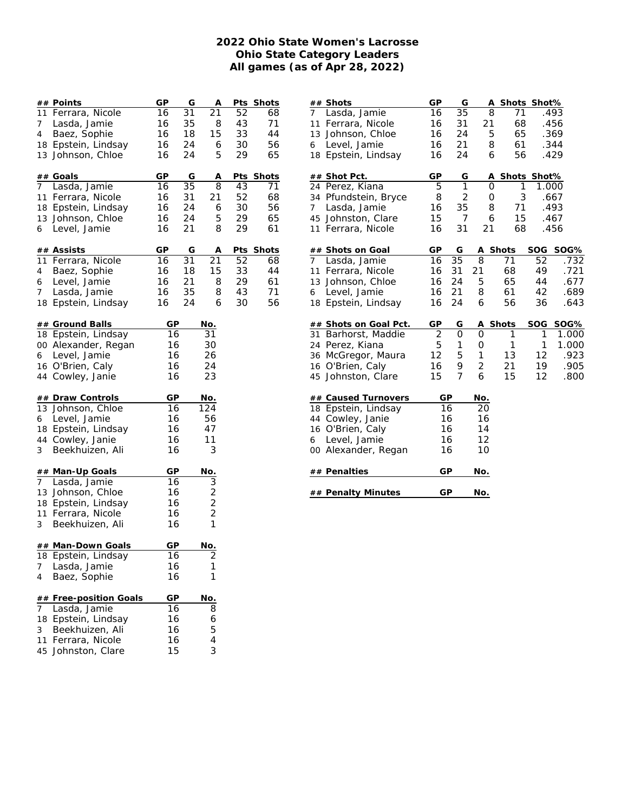## **2022 Ohio State Women's Lacrosse Ohio State Category Leaders All games (as of Apr 28, 2022)**

|                 | ## Points                              | GP       | G  | Α                       | Pts | <b>Shots</b> |
|-----------------|----------------------------------------|----------|----|-------------------------|-----|--------------|
|                 | 11 Ferrara, Nicole                     | 16       | 31 | 21                      | 52  | 68           |
| 7 <sup>7</sup>  | Lasda, Jamie                           | 16       | 35 | 8                       | 43  | 71           |
| 4               | Baez, Sophie                           | 16       | 18 | 15                      | 33  | 44           |
|                 | 18 Epstein, Lindsay                    | 16       | 24 | 6                       | 30  | 56           |
|                 | 13 Johnson, Chloe                      | 16       | 24 | 5                       | 29  | 65           |
|                 |                                        |          |    |                         |     |              |
|                 | ## Goals                               | GP       | G  | Α                       |     | Pts_Shots    |
|                 | 7 Lasda, Jamie                         | 16       | 35 | 8                       | 43  | 71           |
|                 | 11 Ferrara, Nicole                     | 16       | 31 | 21                      | 52  | 68           |
|                 | 18 Epstein, Lindsay                    | 16       | 24 | 6                       | 30  | 56           |
|                 | 13 Johnson, Chloe                      | 16       | 24 | 5                       | 29  | 65           |
| 6               | Level, Jamie                           | 16       | 21 | 8                       | 29  | 61           |
|                 |                                        |          |    |                         |     |              |
|                 | ## Assists                             | GP       | G  | Α                       |     | Pts Shots    |
|                 | 11 Ferrara, Nicole                     | 16       | 31 | 21                      | 52  | 68           |
| $4\overline{ }$ | Baez, Sophie                           | 16       | 18 | 15                      | 33  | 44           |
| 6               | Level, Jamie                           | 16       | 21 | 8                       | 29  | 61           |
| 7 <sup>7</sup>  | Lasda, Jamie                           | 16       | 35 | 8                       | 43  | 71           |
|                 | 18 Epstein, Lindsay                    | 16       | 24 | 6                       | 30  | 56           |
|                 |                                        |          |    |                         |     |              |
|                 | ## Ground Balls<br>18 Epstein, Lindsay | GP<br>16 |    | <u>No.</u><br>31        |     |              |
|                 |                                        |          |    |                         |     |              |
|                 | 00 Alexander, Regan                    | 16       |    | 30                      |     |              |
|                 | 6 Level, Jamie                         | 16       |    | 26                      |     |              |
|                 | 16 O'Brien, Caly                       | 16       |    | 24                      |     |              |
|                 | 44 Cowley, Janie                       | 16       |    | 23                      |     |              |
|                 | <b>## Draw Controls</b>                | GP       |    | No.                     |     |              |
|                 | 13 Johnson, Chloe                      | 16       |    | 124                     |     |              |
|                 | 6 Level, Jamie                         | 16       |    | 56                      |     |              |
|                 | 18 Epstein, Lindsay                    | 16       |    | 47                      |     |              |
|                 | 44 Cowley, Janie                       | 16       |    | 11                      |     |              |
| 3               | Beekhuizen, Ali                        | 16       |    | 3                       |     |              |
|                 |                                        |          |    |                         |     |              |
|                 | ## Man-Up Goals                        | GP       |    | No.                     |     |              |
| 7 <sup>7</sup>  | Lasda, Jamie                           | 16       |    | 3                       |     |              |
|                 | 13 Johnson, Chloe                      | 16       |    | $\sqrt{2}$              |     |              |
|                 | 18 Epstein, Lindsay                    | 16       |    | $\overline{\mathbf{c}}$ |     |              |
|                 | 11 Ferrara, Nicole                     | 16       |    | $\overline{2}$          |     |              |
| 3               | Beekhuizen, Ali                        | 16       |    | 1                       |     |              |
|                 |                                        |          |    |                         |     |              |
|                 | ## Man-Down Goals                      | GР       |    | <u>No.</u>              |     |              |
| 18              | Epstein, Lindsay                       | 16       |    | 2                       |     |              |
| 7               | Lasda, Jamie                           | 16       |    | 1                       |     |              |
| 4               | Baez, Sophie                           | 16       |    | 1                       |     |              |
|                 |                                        |          |    |                         |     |              |
| 7               | ## Free-position Goals<br>Lasda, Jamie | GP<br>16 |    | No.<br>8                |     |              |
| 18              | Epstein, Lindsay                       | 16       |    | 6                       |     |              |
| 3               | Beekhuizen, Ali                        | 16       |    | 5                       |     |              |
|                 |                                        |          |    | 4                       |     |              |
| 11              | Ferrara, Nicole                        | 16<br>15 |    | 3                       |     |              |
| 45              | Johnston, Clare                        |          |    |                         |     |              |

|                |                                  |                | G              |        |                   |       |       |
|----------------|----------------------------------|----------------|----------------|--------|-------------------|-------|-------|
| 7              | # <u># Shots</u><br>Lasda, Jamie | GP<br>16       | 35             | A<br>8 | Shots Shot%<br>71 |       | .493  |
| 11             | Ferrara, Nicole                  | 16             | 31             | 21     | 68                |       | .456  |
|                | 13 Johnson, Chloe                | 16             | 24             | 5      | 65                |       | .369  |
| 6              | Level, Jamie                     | 16             | 21             | 8      | 61                |       | .344  |
|                | 18 Epstein, Lindsay              | 16             | 24             | 6      | 56                |       | .429  |
|                |                                  |                |                |        |                   |       |       |
|                | ## Shot Pct.                     | GP             | G              | Α      | Shots Shot%       |       |       |
|                | 24 Perez, Kiana                  | 5              | $\overline{1}$ | 0      | 1                 | 1.000 |       |
|                | 34 Pfundstein, Bryce             | 8              | 2              | 0      | 3                 |       | .667  |
| $\overline{7}$ | Lasda, Jamie                     | 16             | 35             | 8      | 71                |       | .493  |
|                | 45 Johnston, Clare               | 15             | 7              | 6      | 15                |       | .467  |
|                | 11 Ferrara, Nicole               | 16             | 31             | 21     | 68                |       | .456  |
|                | ## Shots on Goal                 | GP             | G              | Α      | Shots             | SOG   | SOG%  |
| $7^{\circ}$    | Lasda, Jamie                     | 16             | 35             | 8      | 71                | 52    | .732  |
| 11             | Ferrara, Nicole                  | 16             | 31             | 21     | 68                | 49    | .721  |
|                | 13 Johnson, Chloe                | 16             | 24             | 5      | 65                | 44    | .677  |
| 6              | Level, Jamie                     | 16             | 21             | 8      | 61                | 42    | .689  |
|                | 18 Epstein, Lindsay              | 16             | 24             | 6      | 56                | 36    | .643  |
|                | ## Shots on Goal Pct.            | GP             | G              | Α      | <b>Shots</b>      | SOG   | SOG%  |
|                | 31 Barhorst, Maddie              | $\overline{2}$ | 0              | 0      | 1                 | 1     | 1.000 |
|                | 24 Perez, Kiana                  | 5              | 1              | 0      | 1                 | 1     | 1.000 |
|                | 36 McGregor, Maura               | 12             | 5              | 1      | 13                | 12    | .923  |
|                | 16 O'Brien, Caly                 | 16             | 9              | 2      | 21                | 19    | .905  |
|                | 45 Johnston, Clare               | 15             | 7              | 6      | 15                | 12    | .800  |
|                |                                  |                |                |        |                   |       |       |
|                | ## Caused Turnovers              | GP             |                | No.    |                   |       |       |
|                | 18 Epstein, Lindsay              |                | 16             | 20     |                   |       |       |
|                | 44 Cowley, Janie                 |                | 16             | 16     |                   |       |       |
|                | 16 O'Brien, Caly                 |                | 16             | 14     |                   |       |       |
| 6              | Level, Jamie                     |                | 16             | 12     |                   |       |       |
|                | 00 Alexander, Regan              |                | 16             | 10     |                   |       |       |
|                | ## Penalties                     | GP             |                | No.    |                   |       |       |
|                | <b>## Penalty Minutes</b>        | GP             |                | No.    |                   |       |       |